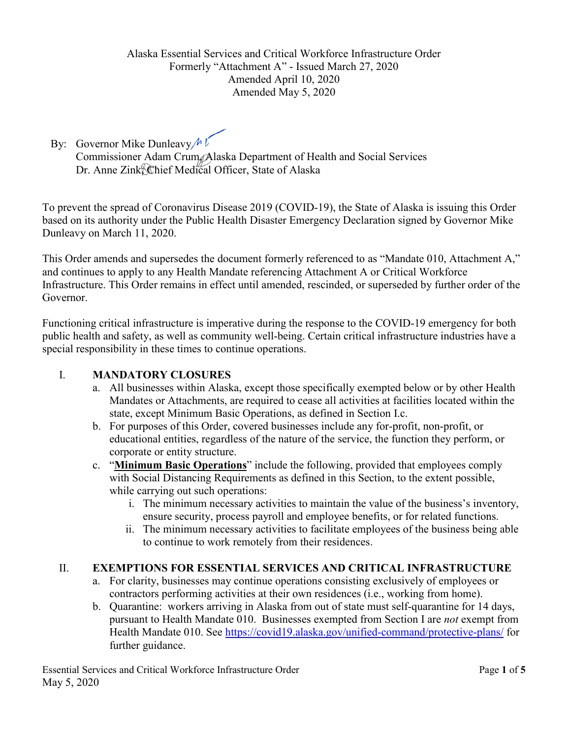By: Governor Mike Dunleavy  $\mathcal{M}$ 

Commissioner Adam Crum, Alaska Department of Health and Social Services Dr. Anne Zink, Chief Medical Officer, State of Alaska

To prevent the spread of Coronavirus Disease 2019 (COVID-19), the State of Alaska is issuing this Order based on its authority under the Public Health Disaster Emergency Declaration signed by Governor Mike Dunleavy on March 11, 2020.

This Order amends and supersedes the document formerly referenced to as "Mandate 010, Attachment A," and continues to apply to any Health Mandate referencing Attachment A or Critical Workforce Infrastructure. This Order remains in effect until amended, rescinded, or superseded by further order of the Governor.

Functioning critical infrastructure is imperative during the response to the COVID-19 emergency for both public health and safety, as well as community well-being. Certain critical infrastructure industries have a special responsibility in these times to continue operations.

# I. **MANDATORY CLOSURES**

- a. All businesses within Alaska, except those specifically exempted below or by other Health Mandates or Attachments, are required to cease all activities at facilities located within the state, except Minimum Basic Operations, as defined in Section I.c.
- b. For purposes of this Order, covered businesses include any for-profit, non-profit, or educational entities, regardless of the nature of the service, the function they perform, or corporate or entity structure.
- c. "**Minimum Basic Operations**" include the following, provided that employees comply with Social Distancing Requirements as defined in this Section, to the extent possible, while carrying out such operations:
	- i. The minimum necessary activities to maintain the value of the business's inventory, ensure security, process payroll and employee benefits, or for related functions.
	- ii. The minimum necessary activities to facilitate employees of the business being able to continue to work remotely from their residences.

### II. **EXEMPTIONS FOR ESSENTIAL SERVICES AND CRITICAL INFRASTRUCTURE**

- a. For clarity, businesses may continue operations consisting exclusively of employees or contractors performing activities at their own residences (i.e., working from home).
- b. Quarantine: workers arriving in Alaska from out of state must self-quarantine for 14 days, pursuant to Health Mandate 010. Businesses exempted from Section I are *not* exempt from Health Mandate 010. See<https://covid19.alaska.gov/unified-command/protective-plans/> for further guidance.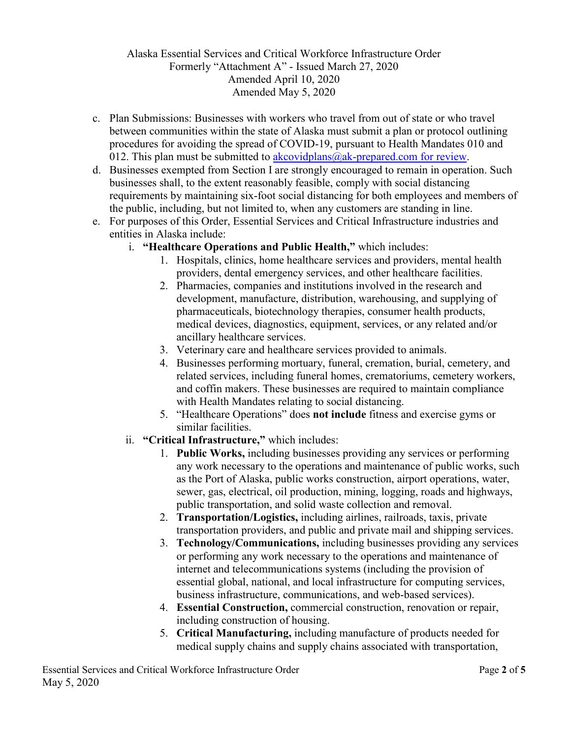- c. Plan Submissions: Businesses with workers who travel from out of state or who travel between communities within the state of Alaska must submit a plan or protocol outlining procedures for avoiding the spread of COVID-19, pursuant to Health Mandates 010 and 012. This plan must be submitted to akcovidplans  $@ak$ -prepared.com for review.
- d. Businesses exempted from Section I are strongly encouraged to remain in operation. Such businesses shall, to the extent reasonably feasible, comply with social distancing requirements by maintaining six-foot social distancing for both employees and members of the public, including, but not limited to, when any customers are standing in line.
- e. For purposes of this Order, Essential Services and Critical Infrastructure industries and entities in Alaska include:
	- i. **"Healthcare Operations and Public Health,"** which includes:
		- 1. Hospitals, clinics, home healthcare services and providers, mental health providers, dental emergency services, and other healthcare facilities.
		- 2. Pharmacies, companies and institutions involved in the research and development, manufacture, distribution, warehousing, and supplying of pharmaceuticals, biotechnology therapies, consumer health products, medical devices, diagnostics, equipment, services, or any related and/or ancillary healthcare services.
		- 3. Veterinary care and healthcare services provided to animals.
		- 4. Businesses performing mortuary, funeral, cremation, burial, cemetery, and related services, including funeral homes, crematoriums, cemetery workers, and coffin makers. These businesses are required to maintain compliance with Health Mandates relating to social distancing.
		- 5. "Healthcare Operations" does **not include** fitness and exercise gyms or similar facilities.
	- ii. **"Critical Infrastructure,"** which includes:
		- 1. **Public Works,** including businesses providing any services or performing any work necessary to the operations and maintenance of public works, such as the Port of Alaska, public works construction, airport operations, water, sewer, gas, electrical, oil production, mining, logging, roads and highways, public transportation, and solid waste collection and removal.
		- 2. **Transportation/Logistics,** including airlines, railroads, taxis, private transportation providers, and public and private mail and shipping services.
		- 3. **Technology/Communications,** including businesses providing any services or performing any work necessary to the operations and maintenance of internet and telecommunications systems (including the provision of essential global, national, and local infrastructure for computing services, business infrastructure, communications, and web-based services).
		- 4. **Essential Construction,** commercial construction, renovation or repair, including construction of housing.
		- 5. **Critical Manufacturing,** including manufacture of products needed for medical supply chains and supply chains associated with transportation,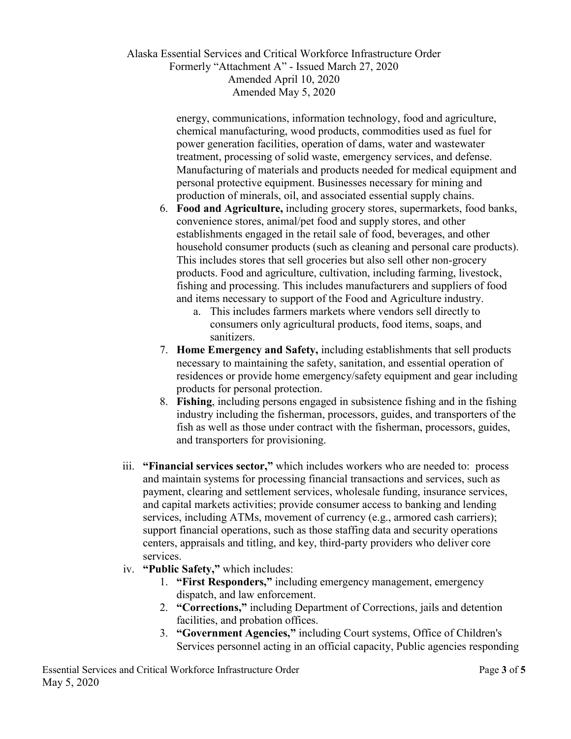> energy, communications, information technology, food and agriculture, chemical manufacturing, wood products, commodities used as fuel for power generation facilities, operation of dams, water and wastewater treatment, processing of solid waste, emergency services, and defense. Manufacturing of materials and products needed for medical equipment and personal protective equipment. Businesses necessary for mining and production of minerals, oil, and associated essential supply chains.

- 6. **Food and Agriculture,** including grocery stores, supermarkets, food banks, convenience stores, animal/pet food and supply stores, and other establishments engaged in the retail sale of food, beverages, and other household consumer products (such as cleaning and personal care products). This includes stores that sell groceries but also sell other non-grocery products. Food and agriculture, cultivation, including farming, livestock, fishing and processing. This includes manufacturers and suppliers of food and items necessary to support of the Food and Agriculture industry.
	- a. This includes farmers markets where vendors sell directly to consumers only agricultural products, food items, soaps, and sanitizers.
- 7. **Home Emergency and Safety,** including establishments that sell products necessary to maintaining the safety, sanitation, and essential operation of residences or provide home emergency/safety equipment and gear including products for personal protection.
- 8. **Fishing**, including persons engaged in subsistence fishing and in the fishing industry including the fisherman, processors, guides, and transporters of the fish as well as those under contract with the fisherman, processors, guides, and transporters for provisioning.
- iii. **"Financial services sector,"** which includes workers who are needed to: process and maintain systems for processing financial transactions and services, such as payment, clearing and settlement services, wholesale funding, insurance services, and capital markets activities; provide consumer access to banking and lending services, including ATMs, movement of currency (e.g., armored cash carriers); support financial operations, such as those staffing data and security operations centers, appraisals and titling, and key, third-party providers who deliver core services.
- iv. **"Public Safety,"** which includes:
	- 1. **"First Responders,"** including emergency management, emergency dispatch, and law enforcement.
	- 2. **"Corrections,"** including Department of Corrections, jails and detention facilities, and probation offices.
	- 3. **"Government Agencies,"** including Court systems, Office of Children's Services personnel acting in an official capacity, Public agencies responding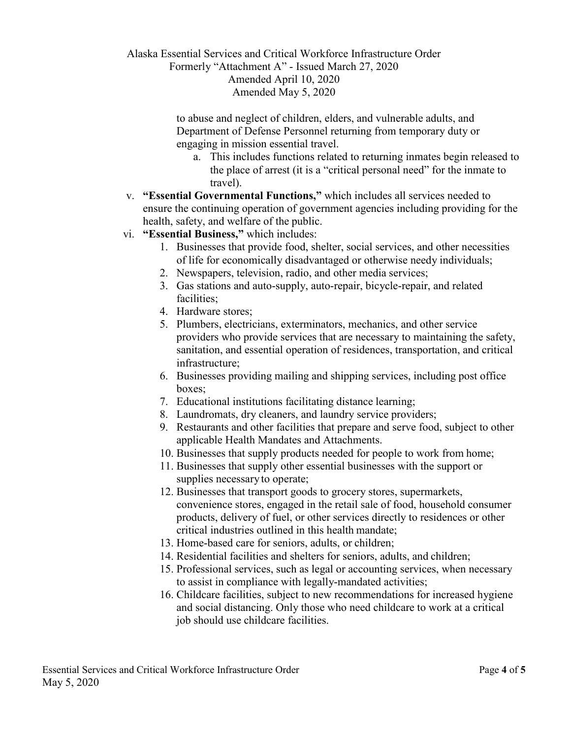#### Alaska Essential Services and Critical Workforce Infrastructure Order Formerly "Attachment A" - Issued March 27, 2020

Amended April 10, 2020 Amended May 5, 2020

to abuse and neglect of children, elders, and vulnerable adults, and Department of Defense Personnel returning from temporary duty or engaging in mission essential travel.

- a. This includes functions related to returning inmates begin released to the place of arrest (it is a "critical personal need" for the inmate to travel).
- v. **"Essential Governmental Functions,"** which includes all services needed to ensure the continuing operation of government agencies including providing for the health, safety, and welfare of the public.
- vi. **"Essential Business,"** which includes:
	- 1. Businesses that provide food, shelter, social services, and other necessities of life for economically disadvantaged or otherwise needy individuals;
	- 2. Newspapers, television, radio, and other media services;
	- 3. Gas stations and auto-supply, auto-repair, bicycle-repair, and related facilities;
	- 4. Hardware stores;
	- 5. Plumbers, electricians, exterminators, mechanics, and other service providers who provide services that are necessary to maintaining the safety, sanitation, and essential operation of residences, transportation, and critical infrastructure;
	- 6. Businesses providing mailing and shipping services, including post office boxes;
	- 7. Educational institutions facilitating distance learning;
	- 8. Laundromats, dry cleaners, and laundry service providers;
	- 9. Restaurants and other facilities that prepare and serve food, subject to other applicable Health Mandates and Attachments.
	- 10. Businesses that supply products needed for people to work from home;
	- 11. Businesses that supply other essential businesses with the support or supplies necessary to operate;
	- 12. Businesses that transport goods to grocery stores, supermarkets, convenience stores, engaged in the retail sale of food, household consumer products, delivery of fuel, or other services directly to residences or other critical industries outlined in this health mandate;
	- 13. Home-based care for seniors, adults, or children;
	- 14. Residential facilities and shelters for seniors, adults, and children;
	- 15. Professional services, such as legal or accounting services, when necessary to assist in compliance with legally-mandated activities;
	- 16. Childcare facilities, subject to new recommendations for increased hygiene and social distancing. Only those who need childcare to work at a critical job should use childcare facilities.